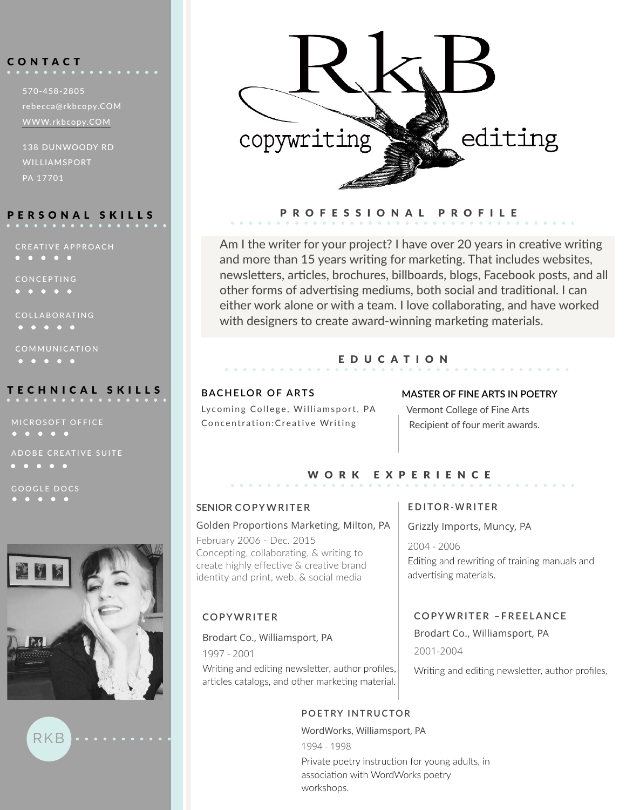# C O NTACT

570-458-2805 rebecca@rkbcopy.COM [WWW.rkbcopy.COM](http://www.RKBCOPY.com)

138 DUNWOODY RD WILLIAMSPORT PA 17701

# PERSONAL SKILLS

CREATIVE APPROACH

CONCEPTING

 $\begin{array}{ccccccccccccccccc} \bullet & \bullet & \bullet & \bullet & \bullet & \bullet & \bullet \end{array}$ 

COLLABORATING

COMMUNICATION

# TECHNICAL SKILLS **BACHELOR OF ARTS**

ADOBE CREATIVE SUITE  $\begin{array}{ccccccccccccccccc} \bullet & \bullet & \bullet & \bullet & \bullet & \bullet & \bullet \end{array}$ 

GOOGLE DOCS

RKB





# PROFESSIONAL PROFILE

Am I the writer for your project? I have over 20 years in creative writing and more than 15 years writing for marketing. That includes websites, newsletters, articles, brochures, billboards, blogs, Facebook posts, and all other forms of advertising mediums, both social and traditional. I can either work alone or with a team. I love collaborating, and have worked with designers to create award-winning marketing materials.

## EDUCATION

Lycoming College, Williamsport, PA Concentration:Creative Writing

### **MASTER OF FINE ARTS IN POETRY**

Vermont College of Fine Arts Recipient of four merit awards.

# WORK EXPERIENCE

### **SENIOR COPYWRITER**

### Golden Proportions Marketing, Milton, PA

February 2006 - Dec. 2015 Concepting, collaborating, & writing to create highly effective & creative brand identity and print, web, & social media

# **COPYWRITER**

### Brodart Co., Williamsport, PA

1997 - 2001

Writing and editing newsletter, author profiles, articles catalogs, and other marketing material.

# **POETRY INTRUCTOR**

WordWorks, Williamsport, PA 1994 - 1998 Private poetry instruction for young adults, in association with WordWorks poetry workshops.

## **EDITOR-WRITER**

Grizzly Imports, Muncy, PA

2004 - 2006 Editing and rewriting of training manuals and advertising materials.

# **COPYWRITER –FREELANCE**

Brodart Co., Williamsport, PA 2001-2004

Writing and editing newsletter, author profiles,